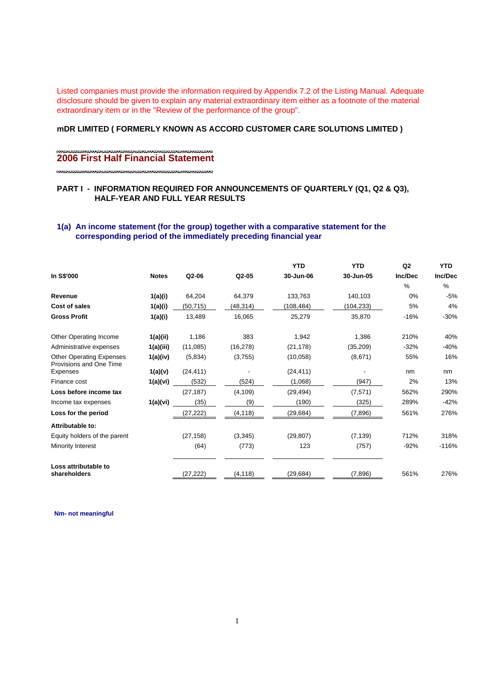Listed companies must provide the information required by Appendix 7.2 of the Listing Manual. Adequate disclosure should be given to explain any material extraordinary item either as a footnote of the material extraordinary item or in the "Review of the performance of the group".

## **mDR LIMITED ( FORMERLY KNOWN AS ACCORD CUSTOMER CARE SOLUTIONS LIMITED )**

\*\*\*\*\*\*\*\*

#### ,,,,,,,,,,,,,,,,,,,,,,,,,, **2006 First Half Financial Statement**

## **PART I - INFORMATION REQUIRED FOR ANNOUNCEMENTS OF QUARTERLY (Q1, Q2 & Q3), HALF-YEAR AND FULL YEAR RESULTS**

## **1(a) An income statement (for the group) together with a comparative statement for the corresponding period of the immediately preceding financial year**

|                                                            |              |           |           | <b>YTD</b> | <b>YTD</b> | Q <sub>2</sub> | <b>YTD</b> |
|------------------------------------------------------------|--------------|-----------|-----------|------------|------------|----------------|------------|
| In S\$'000                                                 | <b>Notes</b> | Q2-06     | $Q2-05$   | 30-Jun-06  | 30-Jun-05  | Inc/Dec        | Inc/Dec    |
|                                                            |              |           |           |            |            | %              | $\%$       |
| Revenue                                                    | 1(a)(i)      | 64,204    | 64,379    | 133,763    | 140,103    | 0%             | $-5%$      |
| Cost of sales                                              | 1(a)(i)      | (50, 715) | (48, 314) | (108, 484) | (104, 233) | 5%             | 4%         |
| <b>Gross Profit</b>                                        | 1(a)(i)      | 13,489    | 16,065    | 25,279     | 35,870     | $-16%$         | $-30%$     |
| Other Operating Income                                     | 1(a)(ii)     | 1,186     | 383       | 1,942      | 1,386      | 210%           | 40%        |
| Administrative expenses                                    | 1(a)(iii)    | (11,085)  | (16, 278) | (21, 178)  | (35,209)   | $-32%$         | $-40%$     |
| <b>Other Operating Expenses</b><br>Provisions and One Time | 1(a)(iv)     | (5,834)   | (3,755)   | (10,058)   | (8,671)    | 55%            | 16%        |
| Expenses                                                   | 1(a)(v)      | (24, 411) |           | (24, 411)  |            | nm             | nm         |
| Finance cost                                               | 1(a)(vi)     | (532)     | (524)     | (1,068)    | (947)      | 2%             | 13%        |
| Loss before income tax                                     |              | (27, 187) | (4, 109)  | (29, 494)  | (7, 571)   | 562%           | 290%       |
| Income tax expenses                                        | 1(a)(vi)     | (35)      | (9)       | (190)      | (325)      | 289%           | $-42%$     |
| Loss for the period                                        |              | (27, 222) | (4, 118)  | (29, 684)  | (7,896)    | 561%           | 276%       |
| Attributable to:                                           |              |           |           |            |            |                |            |
| Equity holders of the parent                               |              | (27, 158) | (3, 345)  | (29, 807)  | (7, 139)   | 712%           | 318%       |
| Minority Interest                                          |              | (64)      | (773)     | 123        | (757)      | $-92%$         | $-116%$    |
| Loss attributable to                                       |              |           |           |            |            |                |            |
| shareholders                                               |              | (27, 222) | (4, 118)  | (29.684)   | (7,896)    | 561%           | 276%       |

**Nm- not meaningful**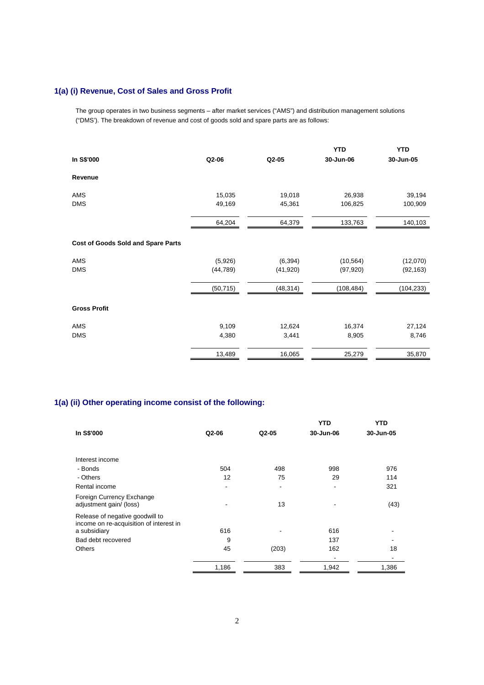# **1(a) (i) Revenue, Cost of Sales and Gross Profit**

The group operates in two business segments – after market services ("AMS") and distribution management solutions ("DMS'). The breakdown of revenue and cost of goods sold and spare parts are as follows:

|                                           |           |           | <b>YTD</b> | <b>YTD</b> |
|-------------------------------------------|-----------|-----------|------------|------------|
| In S\$'000                                | Q2-06     | Q2-05     | 30-Jun-06  | 30-Jun-05  |
| Revenue                                   |           |           |            |            |
| AMS                                       | 15,035    | 19,018    | 26,938     | 39,194     |
| <b>DMS</b>                                | 49,169    | 45,361    | 106,825    | 100,909    |
|                                           | 64,204    | 64,379    | 133,763    | 140,103    |
| <b>Cost of Goods Sold and Spare Parts</b> |           |           |            |            |
| AMS                                       | (5,926)   | (6, 394)  | (10, 564)  | (12,070)   |
| <b>DMS</b>                                | (44, 789) | (41, 920) | (97, 920)  | (92, 163)  |
|                                           | (50, 715) | (48, 314) | (108, 484) | (104, 233) |
| <b>Gross Profit</b>                       |           |           |            |            |
| AMS                                       | 9,109     | 12,624    | 16,374     | 27,124     |
| <b>DMS</b>                                | 4,380     | 3,441     | 8,905      | 8,746      |
|                                           | 13,489    | 16,065    | 25,279     | 35,870     |

# **1(a) (ii) Other operating income consist of the following:**

|                                                                            |         |                          | <b>YTD</b> | <b>YTD</b> |
|----------------------------------------------------------------------------|---------|--------------------------|------------|------------|
| In S\$'000                                                                 | $Q2-06$ | Q2-05                    | 30-Jun-06  | 30-Jun-05  |
|                                                                            |         |                          |            |            |
| Interest income                                                            |         |                          |            |            |
| - Bonds                                                                    | 504     | 498                      | 998        | 976        |
| - Others                                                                   | 12      | 75                       | 29         | 114        |
| Rental income                                                              | -       | $\overline{\phantom{a}}$ | ٠          | 321        |
| Foreign Currency Exchange<br>adjustment gain/ (loss)                       |         | 13                       |            | (43)       |
| Release of negative goodwill to<br>income on re-acquisition of interest in |         |                          |            |            |
| a subsidiary                                                               | 616     |                          | 616        |            |
| Bad debt recovered                                                         | 9       |                          | 137        |            |
| <b>Others</b>                                                              | 45      | (203)                    | 162        | 18         |
|                                                                            |         |                          |            |            |
|                                                                            | 1,186   | 383                      | 1,942      | 1,386      |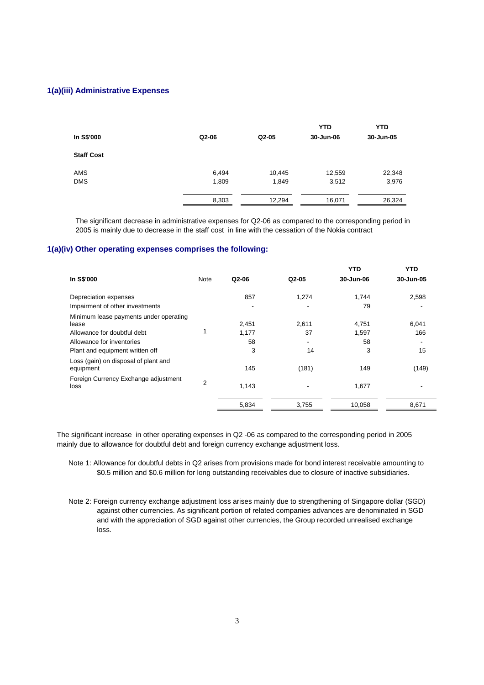### **1(a)(iii) Administrative Expenses**

|                   |       |         | <b>YTD</b> | <b>YTD</b> |
|-------------------|-------|---------|------------|------------|
| In S\$'000        | Q2-06 | $Q2-05$ | 30-Jun-06  | 30-Jun-05  |
| <b>Staff Cost</b> |       |         |            |            |
| AMS               | 6,494 | 10,445  | 12,559     | 22,348     |
| <b>DMS</b>        | 1,809 | 1,849   | 3,512      | 3,976      |
|                   | 8,303 | 12,294  | 16,071     | 26,324     |

The significant decrease in administrative expenses for Q2-06 as compared to the corresponding period in 2005 is mainly due to decrease in the staff cost in line with the cessation of the Nokia contract

### **1(a)(iv) Other operating expenses comprises the following:**

|                                                   |                |       |         | <b>YTD</b> | <b>YTD</b> |
|---------------------------------------------------|----------------|-------|---------|------------|------------|
| In S\$'000                                        | Note           | Q2-06 | $Q2-05$ | 30-Jun-06  | 30-Jun-05  |
| Depreciation expenses                             |                | 857   | 1,274   | 1.744      | 2,598      |
| Impairment of other investments                   |                |       |         | 79         |            |
| Minimum lease payments under operating            |                |       |         |            |            |
| lease                                             |                | 2,451 | 2,611   | 4,751      | 6,041      |
| Allowance for doubtful debt                       |                | 1,177 | 37      | 1,597      | 166        |
| Allowance for inventories                         |                | 58    |         | 58         |            |
| Plant and equipment written off                   |                | 3     | 14      | 3          | 15         |
| Loss (gain) on disposal of plant and<br>equipment |                | 145   | (181)   | 149        | (149)      |
| Foreign Currency Exchange adjustment<br>loss      | $\overline{2}$ | 1,143 |         | 1,677      |            |
|                                                   |                | 5,834 | 3,755   | 10,058     | 8,671      |

The significant increase in other operating expenses in Q2 -06 as compared to the corresponding period in 2005 mainly due to allowance for doubtful debt and foreign currency exchange adjustment loss.

Note 1: Allowance for doubtful debts in Q2 arises from provisions made for bond interest receivable amounting to \$0.5 million and \$0.6 million for long outstanding receivables due to closure of inactive subsidiaries.

Note 2: Foreign currency exchange adjustment loss arises mainly due to strengthening of Singapore dollar (SGD) against other currencies. As significant portion of related companies advances are denominated in SGD and with the appreciation of SGD against other currencies, the Group recorded unrealised exchange loss.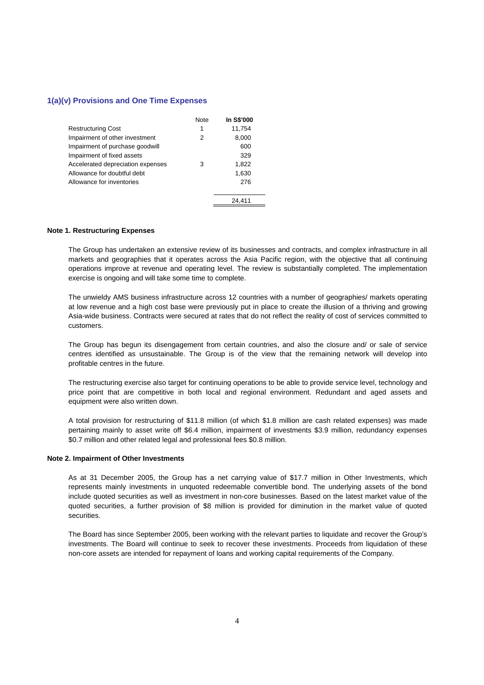### **1(a)(v) Provisions and One Time Expenses**

|                                   | Note | <b>In S\$'000</b> |
|-----------------------------------|------|-------------------|
| <b>Restructuring Cost</b>         | 1    | 11,754            |
| Impairment of other investment    | 2    | 8,000             |
| Impairment of purchase goodwill   |      | 600               |
| Impairment of fixed assets        |      | 329               |
| Accelerated depreciation expenses | 3    | 1,822             |
| Allowance for doubtful debt       |      | 1,630             |
| Allowance for inventories         |      | 276               |
|                                   |      |                   |
|                                   |      | 24.411            |

#### **Note 1. Restructuring Expenses**

The Group has undertaken an extensive review of its businesses and contracts, and complex infrastructure in all markets and geographies that it operates across the Asia Pacific region, with the objective that all continuing operations improve at revenue and operating level. The review is substantially completed. The implementation exercise is ongoing and will take some time to complete.

The unwieldy AMS business infrastructure across 12 countries with a number of geographies/ markets operating at low revenue and a high cost base were previously put in place to create the illusion of a thriving and growing Asia-wide business. Contracts were secured at rates that do not reflect the reality of cost of services committed to customers.

The Group has begun its disengagement from certain countries, and also the closure and/ or sale of service centres identified as unsustainable. The Group is of the view that the remaining network will develop into profitable centres in the future.

The restructuring exercise also target for continuing operations to be able to provide service level, technology and price point that are competitive in both local and regional environment. Redundant and aged assets and equipment were also written down.

A total provision for restructuring of \$11.8 million (of which \$1.8 million are cash related expenses) was made pertaining mainly to asset write off \$6.4 million, impairment of investments \$3.9 million, redundancy expenses \$0.7 million and other related legal and professional fees \$0.8 million.

### **Note 2. Impairment of Other Investments**

As at 31 December 2005, the Group has a net carrying value of \$17.7 million in Other Investments, which represents mainly investments in unquoted redeemable convertible bond. The underlying assets of the bond include quoted securities as well as investment in non-core businesses. Based on the latest market value of the quoted securities, a further provision of \$8 million is provided for diminution in the market value of quoted securities.

The Board has since September 2005, been working with the relevant parties to liquidate and recover the Group's investments. The Board will continue to seek to recover these investments. Proceeds from liquidation of these non-core assets are intended for repayment of loans and working capital requirements of the Company.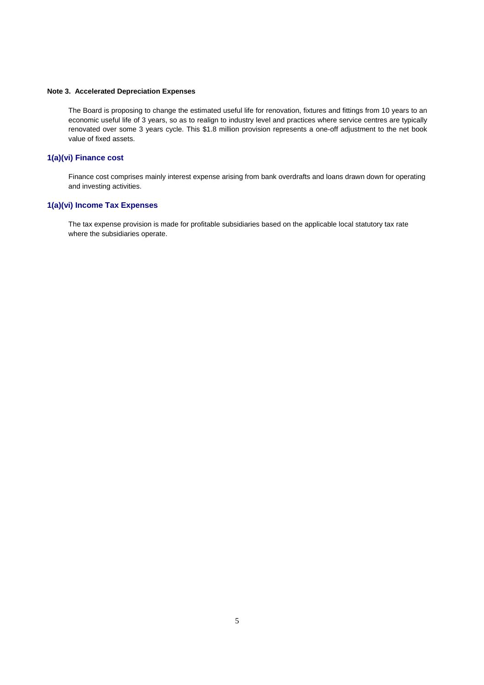#### **Note 3. Accelerated Depreciation Expenses**

The Board is proposing to change the estimated useful life for renovation, fixtures and fittings from 10 years to an economic useful life of 3 years, so as to realign to industry level and practices where service centres are typically renovated over some 3 years cycle. This \$1.8 million provision represents a one-off adjustment to the net book value of fixed assets.

### **1(a)(vi) Finance cost**

Finance cost comprises mainly interest expense arising from bank overdrafts and loans drawn down for operating and investing activities.

### **1(a)(vi) Income Tax Expenses**

The tax expense provision is made for profitable subsidiaries based on the applicable local statutory tax rate where the subsidiaries operate.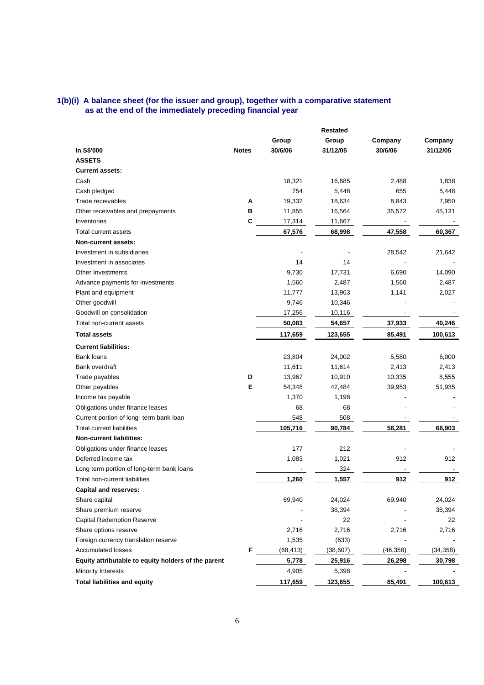### **1(b)(i) A balance sheet (for the issuer and group), together with a comparative statement as at the end of the immediately preceding financial year**

|                                                     |              |           | <b>Restated</b> |           |           |
|-----------------------------------------------------|--------------|-----------|-----------------|-----------|-----------|
|                                                     |              | Group     | Group           | Company   | Company   |
| In S\$'000                                          | <b>Notes</b> | 30/6/06   | 31/12/05        | 30/6/06   | 31/12/05  |
| <b>ASSETS</b>                                       |              |           |                 |           |           |
| <b>Current assets:</b>                              |              |           |                 |           |           |
| Cash                                                |              | 18,321    | 16,685          | 2,488     | 1,838     |
| Cash pledged                                        |              | 754       | 5,448           | 655       | 5,448     |
| Trade receivables                                   | Α            | 19,332    | 18,634          | 8,843     | 7,950     |
| Other receivables and prepayments                   | в            | 11,855    | 16,564          | 35,572    | 45,131    |
| Inventories                                         | C            | 17,314    | 11,667          |           |           |
| Total current assets                                |              | 67,576    | 68,998          | 47,558    | 60,367    |
| Non-current assets:                                 |              |           |                 |           |           |
| Investment in subsidiaries                          |              |           |                 | 28,542    | 21,642    |
| Investment in associates                            |              | 14        | 14              |           |           |
| Other Investments                                   |              | 9,730     | 17,731          | 6,690     | 14,090    |
| Advance payments for investments                    |              | 1,560     | 2,487           | 1,560     | 2,487     |
| Plant and equipment                                 |              | 11,777    | 13,963          | 1,141     | 2,027     |
| Other goodwill                                      |              | 9,746     | 10,346          |           |           |
| Goodwill on consolidation                           |              | 17,256    | 10,116          |           |           |
| Total non-current assets                            |              | 50,083    | 54,657          | 37,933    | 40,246    |
| <b>Total assets</b>                                 |              | 117,659   | 123,655         | 85,491    | 100,613   |
| <b>Current liabilities:</b>                         |              |           |                 |           |           |
| <b>Bank loans</b>                                   |              | 23,804    | 24,002          | 5,580     | 6,000     |
| <b>Bank overdraft</b>                               |              | 11,611    | 11,614          | 2,413     | 2,413     |
| Trade payables                                      | D            | 13,967    | 10,910          | 10,335    | 8,555     |
| Other payables                                      | E            | 54,348    | 42,484          | 39,953    | 51,935    |
| Income tax payable                                  |              | 1,370     | 1,198           |           |           |
| Obligations under finance leases                    |              | 68        | 68              |           |           |
| Current portion of long- term bank loan             |              | 548       | 508             |           |           |
| <b>Total current liabilities</b>                    |              | 105,716   | 90,784          | 58,281    | 68,903    |
| <b>Non-current liabilities:</b>                     |              |           |                 |           |           |
| Obligations under finance leases                    |              | 177       | 212             |           |           |
| Deferred income tax                                 |              | 1,083     | 1,021           | 912       | 912       |
| Long term portion of long-term bank loans           |              |           | 324             |           |           |
| Total non-current liabilities                       |              | 1,260     | 1,557           | 912       | 912       |
| <b>Capital and reserves:</b>                        |              |           |                 |           |           |
| Share capital                                       |              | 69,940    | 24,024          | 69,940    | 24,024    |
| Share premium reserve                               |              |           | 38,394          |           | 38,394    |
| <b>Capital Redemption Reserve</b>                   |              |           | 22              |           | 22        |
| Share options reserve                               |              | 2,716     | 2,716           | 2,716     | 2,716     |
| Foreign currency translation reserve                |              | 1,535     | (633)           |           |           |
| <b>Accumulated losses</b>                           | F            | (68, 413) | (38, 607)       | (46, 358) | (34, 358) |
| Equity attributable to equity holders of the parent |              | 5,778     | 25,916          | 26,298    | 30,798    |
| Minority Interests                                  |              | 4,905     | 5,398           |           |           |
| <b>Total liabilities and equity</b>                 |              | 117,659   | 123,655         | 85,491    | 100,613   |
|                                                     |              |           |                 |           |           |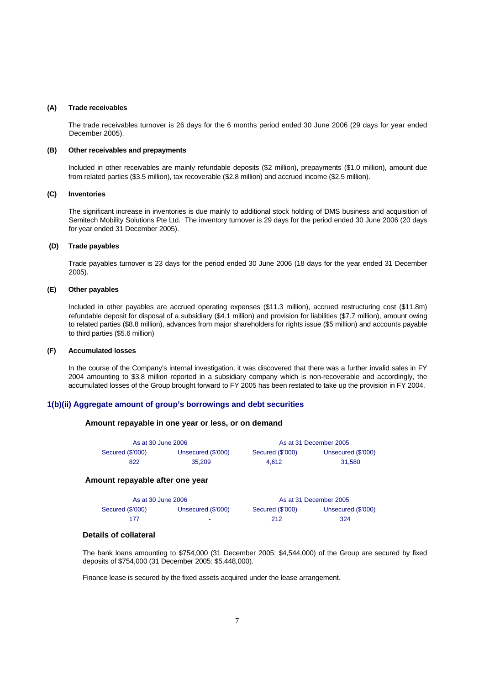#### **(A) Trade receivables**

 The trade receivables turnover is 26 days for the 6 months period ended 30 June 2006 (29 days for year ended December 2005).

#### **(B) Other receivables and prepayments**

Included in other receivables are mainly refundable deposits (\$2 million), prepayments (\$1.0 million), amount due from related parties (\$3.5 million), tax recoverable (\$2.8 million) and accrued income (\$2.5 million).

#### **(C) Inventories**

 The significant increase in inventories is due mainly to additional stock holding of DMS business and acquisition of Semitech Mobility Solutions Pte Ltd. The inventory turnover is 29 days for the period ended 30 June 2006 (20 days for year ended 31 December 2005).

### **(D) Trade payables**

 Trade payables turnover is 23 days for the period ended 30 June 2006 (18 days for the year ended 31 December 2005).

#### **(E) Other payables**

 Included in other payables are accrued operating expenses (\$11.3 million), accrued restructuring cost (\$11.8m) refundable deposit for disposal of a subsidiary (\$4.1 million) and provision for liabilities (\$7.7 million), amount owing to related parties (\$8.8 million), advances from major shareholders for rights issue (\$5 million) and accounts payable to third parties (\$5.6 million)

#### **(F) Accumulated losses**

In the course of the Company's internal investigation, it was discovered that there was a further invalid sales in FY 2004 amounting to \$3.8 million reported in a subsidiary company which is non-recoverable and accordingly, the accumulated losses of the Group brought forward to FY 2005 has been restated to take up the provision in FY 2004.

### **1(b)(ii) Aggregate amount of group's borrowings and debt securities**

### **Amount repayable in one year or less, or on demand**

| As at 30 June 2006 |                    | As at 31 December 2005 |                    |  |  |
|--------------------|--------------------|------------------------|--------------------|--|--|
| Secured (\$'000)   | Unsecured (\$'000) | Secured (\$'000)       | Unsecured (\$'000) |  |  |
| 822                | 35,209             | 4.612                  | 31.580             |  |  |

## **Amount repayable after one year**

| As at 30 June 2006 |                    | As at 31 December 2005 |                    |  |  |
|--------------------|--------------------|------------------------|--------------------|--|--|
| Secured (\$'000)   | Unsecured (\$'000) | Secured (\$'000)       | Unsecured (\$'000) |  |  |
| 177                |                    | 212                    | 324                |  |  |

### **Details of collateral**

The bank loans amounting to \$754,000 (31 December 2005: \$4,544,000) of the Group are secured by fixed deposits of \$754,000 (31 December 2005: \$5,448,000).

Finance lease is secured by the fixed assets acquired under the lease arrangement.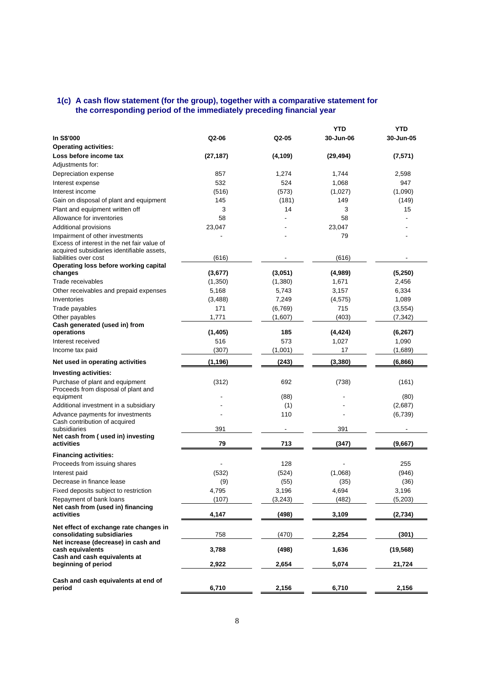### **1(c) A cash flow statement (for the group), together with a comparative statement for the corresponding period of the immediately preceding financial year**

|                                                                |           |          | <b>YTD</b> | <b>YTD</b> |
|----------------------------------------------------------------|-----------|----------|------------|------------|
| In S\$'000                                                     | Q2-06     | $Q2-05$  | 30-Jun-06  | 30-Jun-05  |
| <b>Operating activities:</b>                                   |           |          |            |            |
| Loss before income tax                                         | (27, 187) | (4, 109) | (29, 494)  | (7,571)    |
| Adjustments for:                                               |           |          |            |            |
| Depreciation expense                                           | 857       | 1,274    | 1,744      | 2,598      |
| Interest expense                                               | 532       | 524      | 1,068      | 947        |
| Interest income                                                | (516)     | (573)    | (1,027)    | (1,090)    |
| Gain on disposal of plant and equipment                        | 145       | (181)    | 149        | (149)      |
| Plant and equipment written off                                | 3         | 14       | 3          | 15         |
| Allowance for inventories                                      | 58        |          | 58         |            |
| Additional provisions                                          | 23,047    |          | 23,047     |            |
| Impairment of other investments                                |           |          | 79         |            |
| Excess of interest in the net fair value of                    |           |          |            |            |
| acquired subsidiaries identifiable assets,                     |           |          |            |            |
| liabilities over cost<br>Operating loss before working capital | (616)     |          | (616)      |            |
| changes                                                        | (3,677)   | (3,051)  | (4,989)    | (5,250)    |
| Trade receivables                                              | (1,350)   | (1,380)  | 1,671      | 2,456      |
| Other receivables and prepaid expenses                         | 5,168     | 5,743    | 3,157      | 6,334      |
| Inventories                                                    | (3,488)   | 7,249    | (4, 575)   | 1,089      |
| Trade payables                                                 | 171       | (6, 769) | 715        | (3, 554)   |
| Other payables                                                 | 1,771     | (1,607)  | (403)      | (7, 342)   |
| Cash generated (used in) from                                  |           |          |            |            |
| operations                                                     | (1,405)   | 185      | (4, 424)   | (6, 267)   |
| Interest received                                              | 516       | 573      | 1,027      | 1,090      |
| Income tax paid                                                | (307)     | (1,001)  | 17         | (1,689)    |
| Net used in operating activities                               | (1, 196)  | (243)    | (3, 380)   | (6, 866)   |
| Investing activities:                                          |           |          |            |            |
| Purchase of plant and equipment                                | (312)     | 692      | (738)      | (161)      |
| Proceeds from disposal of plant and                            |           |          |            |            |
| equipment                                                      |           | (88)     |            | (80)       |
| Additional investment in a subsidiary                          |           | (1)      |            | (2,687)    |
| Advance payments for investments                               |           | 110      |            | (6,739)    |
| Cash contribution of acquired                                  |           |          |            |            |
| subsidiaries                                                   | 391       |          | 391        |            |
| Net cash from (used in) investing<br>activities                | 79        | 713      | (347)      | (9,667)    |
|                                                                |           |          |            |            |
| <b>Financing activities:</b>                                   |           |          |            |            |
| Proceeds from issuing shares                                   |           | 128      |            | 255        |
| Interest paid                                                  | (532)     | (524)    | (1,068)    | (946)      |
| Decrease in finance lease                                      | (9)       | (55)     | (35)       | (36)       |
| Fixed deposits subject to restriction                          | 4,795     | 3,196    | 4,694      | 3,196      |
| Repayment of bank loans                                        | (107)     | (3, 243) | (482)      | (5,203)    |
| Net cash from (used in) financing<br>activities                | 4,147     | (498)    | 3,109      | (2,734)    |
| Net effect of exchange rate changes in                         |           |          |            |            |
| consolidating subsidiaries                                     | 758       | (470)    | 2,254      | (301)      |
| Net increase (decrease) in cash and                            |           |          |            |            |
| cash equivalents<br>Cash and cash equivalents at               | 3,788     | (498)    | 1,636      | (19, 568)  |
| beginning of period                                            | 2,922     | 2,654    | 5,074      | 21,724     |
|                                                                |           |          |            |            |
| Cash and cash equivalents at end of                            |           |          |            |            |
| period                                                         | 6,710     | 2,156    | 6,710      | 2,156      |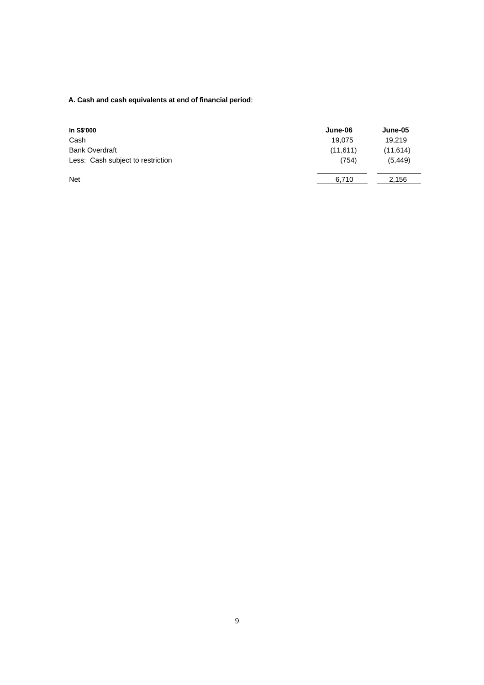## **A. Cash and cash equivalents at end of financial period**:

| In S\$'000                        | June-06  | June-05  |
|-----------------------------------|----------|----------|
| Cash                              | 19,075   | 19.219   |
| <b>Bank Overdraft</b>             | (11,611) | (11,614) |
| Less: Cash subject to restriction | (754)    | (5, 449) |
| <b>Net</b>                        | 6,710    | 2,156    |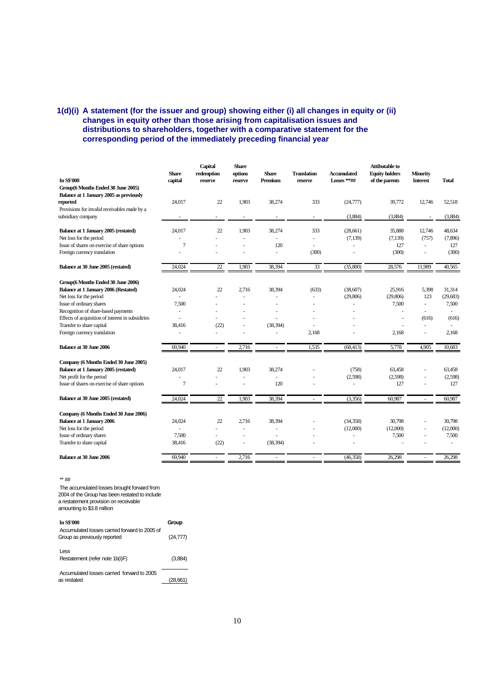## **1(d)(i) A statement (for the issuer and group) showing either (i) all changes in equity or (ii) changes in equity other than those arising from capitalisation issues and distributions to shareholders, together with a comparative statement for the corresponding period of the immediately preceding financial year**

| <b>In S\$'000</b>                                 | <b>Share</b><br>capital | Capital<br>redemption<br>reserve | <b>Share</b><br>options<br>reserve | <b>Share</b><br>Premium  | <b>Translation</b><br>reserve | <b>Accumulated</b><br>$Losses$ **## | <b>Attibutable to</b><br><b>Equity holders</b><br>of the parents | <b>Minority</b><br><b>Interest</b> | <b>Total</b> |
|---------------------------------------------------|-------------------------|----------------------------------|------------------------------------|--------------------------|-------------------------------|-------------------------------------|------------------------------------------------------------------|------------------------------------|--------------|
| Group(6 Months Ended 30 June 2005)                |                         |                                  |                                    |                          |                               |                                     |                                                                  |                                    |              |
| Balance at 1 January 2005 as previously           |                         |                                  |                                    |                          |                               |                                     |                                                                  |                                    |              |
| reported                                          | 24,017                  | 22                               | 1,903                              | 38,274                   | 333                           | (24, 777)                           | 39,772                                                           | 12,746                             | 52,518       |
| Provisions for invalid receivables made by a      |                         |                                  |                                    |                          |                               |                                     |                                                                  |                                    |              |
| subsidiary company                                |                         |                                  | $\blacksquare$                     |                          | $\blacksquare$                | (3,884)                             | (3,884)                                                          |                                    | (3,884)      |
|                                                   |                         |                                  |                                    |                          |                               |                                     |                                                                  |                                    |              |
| Balance at 1 January 2005 (restated)              | 24,017                  | 22                               | 1,903                              | 38,274                   | 333                           | (28,661)                            | 35,888                                                           | 12,746                             | 48,634       |
| Net loss for the period                           |                         |                                  |                                    |                          |                               | (7, 139)                            | (7, 139)                                                         | (757)                              | (7, 896)     |
| Issue of shares on exercise of share options      | 7                       |                                  |                                    | 120                      |                               |                                     | 127                                                              | $\sim$                             | 127          |
| Foreign currency translation                      | ÷,                      |                                  | ä,                                 | ÷.                       | (300)                         |                                     | (300)                                                            | ä,                                 | (300)        |
| Balance at 30 June 2005 (restated)                | 24,024                  | 22                               | 1,903                              | 38,394                   | 33                            | (35,800)                            | 28,576                                                           | 11,989                             | 40,565       |
| Group(6 Months Ended 30 June 2006)                |                         |                                  |                                    |                          |                               |                                     |                                                                  |                                    |              |
| <b>Balance at 1 January 2006 (Restated)</b>       | 24,024                  | 22                               | 2,716                              | 38,394                   | (633)                         | (38,607)                            | 25,916                                                           | 5,398                              | 31,314       |
| Net loss for the period                           |                         |                                  |                                    |                          |                               | (29, 806)                           | (29,806)                                                         | 123                                | (29, 683)    |
| Issue of ordinary shares                          | 7,500                   |                                  | ÷                                  |                          |                               | ä,                                  | 7,500                                                            | $\overline{\phantom{a}}$           | 7,500        |
| Recognition of share-based payments               |                         |                                  |                                    |                          |                               |                                     |                                                                  | ٠                                  |              |
| Effects of acquisition of interest in subsidiries |                         |                                  |                                    |                          |                               |                                     |                                                                  | (616)                              | (616)        |
| Transfer to share capital                         | 38,416                  | (22)                             | ä,                                 | (38, 394)                |                               |                                     |                                                                  | ÷.                                 |              |
| Foreign currency translation                      | ä,                      |                                  |                                    |                          | 2,168                         |                                     | 2,168                                                            | ä,                                 | 2,168        |
|                                                   |                         |                                  |                                    |                          |                               |                                     |                                                                  |                                    |              |
| <b>Balance at 30 June 2006</b>                    | 69.940                  | ÷,                               | 2,716                              | $\sim$                   | 1,535                         | (68, 413)                           | 5,778                                                            | 4,905                              | 10.683       |
| Company (6 Months Ended 30 June 2005)             |                         |                                  |                                    |                          |                               |                                     |                                                                  |                                    |              |
| Balance at 1 January 2005 (restated)              | 24,017                  | 22                               | 1,903                              | 38,274                   |                               | (758)                               | 63,458                                                           |                                    | 63,458       |
| Net profit for the period                         |                         |                                  | ä,                                 | $\overline{\phantom{a}}$ |                               | (2,598)                             | (2,598)                                                          |                                    | (2,598)      |
| Issue of shares on exercise of share options      | 7                       |                                  | ÷                                  | 120                      |                               | ٠                                   | 127                                                              | ٠                                  | 127          |
| Balance at 30 June 2005 (restated)                | 24,024                  | 22                               | 1,903                              | 38,394                   |                               | (3,356)                             | 60,987                                                           |                                    | 60,987       |
|                                                   |                         |                                  |                                    |                          |                               |                                     |                                                                  |                                    |              |
| Company (6 Months Ended 30 June 2006)             |                         |                                  |                                    |                          |                               |                                     |                                                                  |                                    |              |
| <b>Balance at 1 January 2006</b>                  | 24,024                  | 22                               | 2,716                              | 38,394                   |                               | (34, 358)                           | 30,798                                                           | ä,                                 | 30,798       |
| Net loss for the period                           |                         |                                  |                                    |                          |                               | (12,000)                            | (12,000)                                                         | ä,                                 | (12,000)     |
| Issue of ordinary shares                          | 7,500                   |                                  | ٠                                  | ٠                        |                               | ÷,                                  | 7,500                                                            |                                    | 7,500        |
| Transfer to share capital                         | 38,416                  | (22)                             | ä,                                 | (38, 394)                |                               |                                     |                                                                  |                                    | ÷.           |
| <b>Balance at 30 June 2006</b>                    | 69,940                  | ٠                                | 2,716                              |                          | ٠                             | (46, 358)                           | 26,298                                                           |                                    | 26,298       |
|                                                   |                         |                                  |                                    |                          |                               |                                     |                                                                  |                                    |              |

\*\* ##

 The accumulated losses brought forward from 2004 of the Group has been restated to include a restatement provision on receivable amounting to \$3.8 million

| <b>In S\$'000</b>                                                             | Group     |
|-------------------------------------------------------------------------------|-----------|
| Accumulated losses carried forward to 2005 of<br>Group as previously reported | (24, 777) |
| l ess<br>Restatement (refer note 1b(i)F)                                      | (3.884)   |
| Accumulated losses carried forward to 2005<br>as restated                     |           |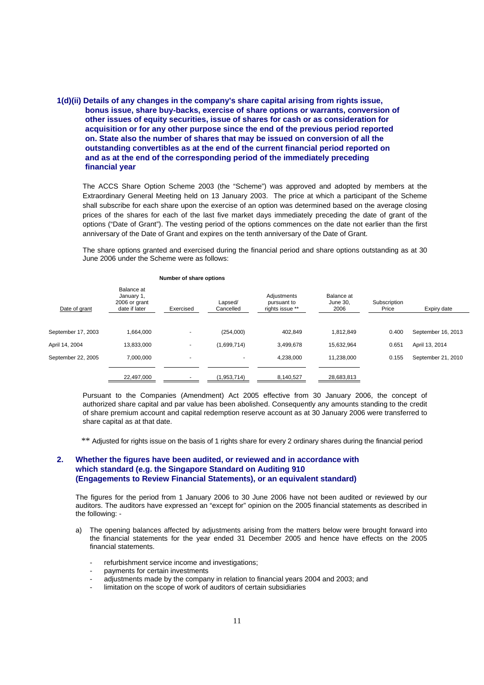## **1(d)(ii) Details of any changes in the company's share capital arising from rights issue, bonus issue, share buy-backs, exercise of share options or warrants, conversion of other issues of equity securities, issue of shares for cash or as consideration for acquisition or for any other purpose since the end of the previous period reported on. State also the number of shares that may be issued on conversion of all the outstanding convertibles as at the end of the current financial period reported on and as at the end of the corresponding period of the immediately preceding financial year**

The ACCS Share Option Scheme 2003 (the "Scheme") was approved and adopted by members at the Extraordinary General Meeting held on 13 January 2003. The price at which a participant of the Scheme shall subscribe for each share upon the exercise of an option was determined based on the average closing prices of the shares for each of the last five market days immediately preceding the date of grant of the options ("Date of Grant"). The vesting period of the options commences on the date not earlier than the first anniversary of the Date of Grant and expires on the tenth anniversary of the Date of Grant.

The share options granted and exercised during the financial period and share options outstanding as at 30 June 2006 under the Scheme were as follows:

| Date of grant      | Balance at<br>January 1,<br>2006 or grant<br>date if later | Exercised                | Lapsed/<br>Cancelled     | Adjustments<br>pursuant to<br>rights issue ** | Balance at<br>June 30.<br>2006 | Subscription<br>Price | Expiry date        |
|--------------------|------------------------------------------------------------|--------------------------|--------------------------|-----------------------------------------------|--------------------------------|-----------------------|--------------------|
|                    |                                                            |                          |                          |                                               |                                |                       |                    |
| September 17, 2003 | 1,664,000                                                  |                          | (254,000)                | 402,849                                       | 1,812,849                      | 0.400                 | September 16, 2013 |
| April 14, 2004     | 13,833,000                                                 | ٠                        | (1,699,714)              | 3,499,678                                     | 15,632,964                     | 0.651                 | April 13, 2014     |
| September 22, 2005 | 7,000,000                                                  | $\overline{\phantom{a}}$ | $\overline{\phantom{a}}$ | 4,238,000                                     | 11,238,000                     | 0.155                 | September 21, 2010 |
|                    |                                                            |                          |                          |                                               |                                |                       |                    |
|                    | 22,497,000                                                 |                          | (1,953,714)              | 8,140,527                                     | 28,683,813                     |                       |                    |

#### **Number of share options**

Pursuant to the Companies (Amendment) Act 2005 effective from 30 January 2006, the concept of authorized share capital and par value has been abolished. Consequently any amounts standing to the credit of share premium account and capital redemption reserve account as at 30 January 2006 were transferred to share capital as at that date.

\*\* Adjusted for rights issue on the basis of 1 rights share for every 2 ordinary shares during the financial period

## **2. Whether the figures have been audited, or reviewed and in accordance with which standard (e.g. the Singapore Standard on Auditing 910 (Engagements to Review Financial Statements), or an equivalent standard)**

The figures for the period from 1 January 2006 to 30 June 2006 have not been audited or reviewed by our auditors. The auditors have expressed an "except for" opinion on the 2005 financial statements as described in the following: -

- a) The opening balances affected by adjustments arising from the matters below were brought forward into the financial statements for the year ended 31 December 2005 and hence have effects on the 2005 financial statements.
	- refurbishment service income and investigations;
	- payments for certain investments
	- adjustments made by the company in relation to financial years 2004 and 2003; and
	- limitation on the scope of work of auditors of certain subsidiaries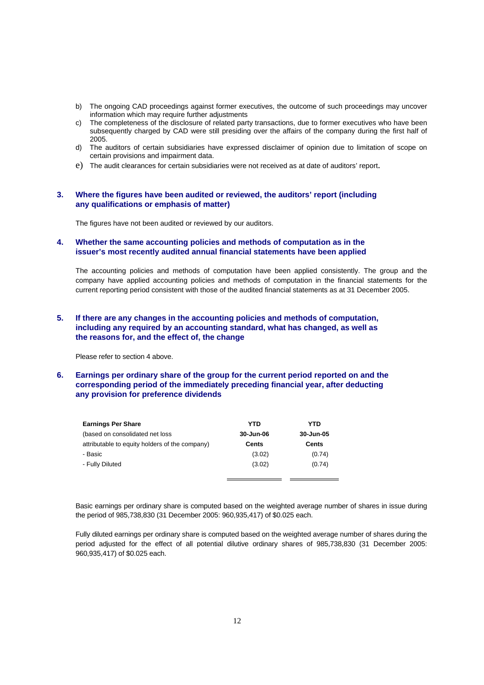- b) The ongoing CAD proceedings against former executives, the outcome of such proceedings may uncover information which may require further adjustments
- c) The completeness of the disclosure of related party transactions, due to former executives who have been subsequently charged by CAD were still presiding over the affairs of the company during the first half of 2005.
- d) The auditors of certain subsidiaries have expressed disclaimer of opinion due to limitation of scope on certain provisions and impairment data.
- e) The audit clearances for certain subsidiaries were not received as at date of auditors' report.

### **3. Where the figures have been audited or reviewed, the auditors' report (including any qualifications or emphasis of matter)**

The figures have not been audited or reviewed by our auditors.

### **4. Whether the same accounting policies and methods of computation as in the issuer's most recently audited annual financial statements have been applied**

The accounting policies and methods of computation have been applied consistently. The group and the company have applied accounting policies and methods of computation in the financial statements for the current reporting period consistent with those of the audited financial statements as at 31 December 2005.

### **5. If there are any changes in the accounting policies and methods of computation, including any required by an accounting standard, what has changed, as well as the reasons for, and the effect of, the change**

Please refer to section 4 above.

## **6. Earnings per ordinary share of the group for the current period reported on and the corresponding period of the immediately preceding financial year, after deducting any provision for preference dividends**

| <b>Earnings Per Share</b>                      | YTD       | YTD       |
|------------------------------------------------|-----------|-----------|
| (based on consolidated net loss)               | 30-Jun-06 | 30-Jun-05 |
| attributable to equity holders of the company) | Cents     | Cents     |
| - Basic                                        | (3.02)    | (0.74)    |
| - Fully Diluted                                | (3.02)    | (0.74)    |
|                                                |           |           |

Basic earnings per ordinary share is computed based on the weighted average number of shares in issue during the period of 985,738,830 (31 December 2005: 960,935,417) of \$0.025 each.

Fully diluted earnings per ordinary share is computed based on the weighted average number of shares during the period adjusted for the effect of all potential dilutive ordinary shares of 985,738,830 (31 December 2005: 960,935,417) of \$0.025 each.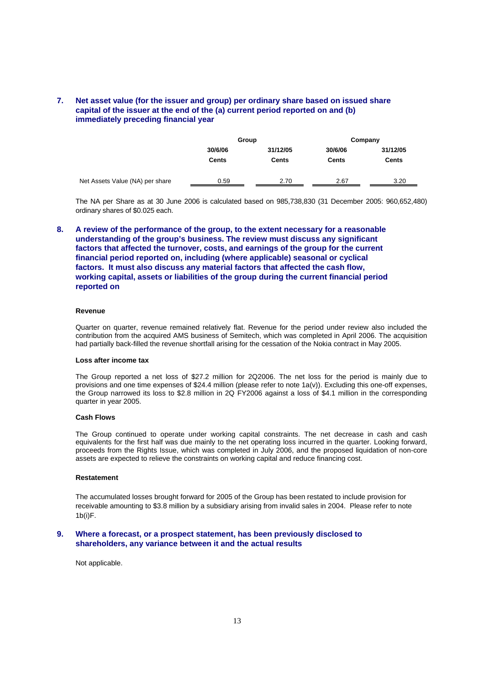## **7. Net asset value (for the issuer and group) per ordinary share based on issued share capital of the issuer at the end of the (a) current period reported on and (b) immediately preceding financial year**

|                                 | Group        |          | Company      |              |  |
|---------------------------------|--------------|----------|--------------|--------------|--|
|                                 | 30/6/06      | 31/12/05 | 30/6/06      | 31/12/05     |  |
|                                 | <b>Cents</b> | Cents    | <b>Cents</b> | <b>Cents</b> |  |
|                                 |              |          |              |              |  |
| Net Assets Value (NA) per share | 0.59         | 2.70     | 2.67         | 3.20         |  |

The NA per Share as at 30 June 2006 is calculated based on 985,738,830 (31 December 2005: 960,652,480) ordinary shares of \$0.025 each.

**8. A review of the performance of the group, to the extent necessary for a reasonable understanding of the group's business. The review must discuss any significant factors that affected the turnover, costs, and earnings of the group for the current financial period reported on, including (where applicable) seasonal or cyclical factors. It must also discuss any material factors that affected the cash flow, working capital, assets or liabilities of the group during the current financial period reported on** 

### **Revenue**

Quarter on quarter, revenue remained relatively flat. Revenue for the period under review also included the contribution from the acquired AMS business of Semitech, which was completed in April 2006. The acquisition had partially back-filled the revenue shortfall arising for the cessation of the Nokia contract in May 2005.

#### **Loss after income tax**

The Group reported a net loss of \$27.2 million for 2Q2006. The net loss for the period is mainly due to provisions and one time expenses of \$24.4 million (please refer to note 1a(v)). Excluding this one-off expenses, the Group narrowed its loss to \$2.8 million in 2Q FY2006 against a loss of \$4.1 million in the corresponding quarter in year 2005.

#### **Cash Flows**

The Group continued to operate under working capital constraints. The net decrease in cash and cash equivalents for the first half was due mainly to the net operating loss incurred in the quarter. Looking forward, proceeds from the Rights Issue, which was completed in July 2006, and the proposed liquidation of non-core assets are expected to relieve the constraints on working capital and reduce financing cost.

#### **Restatement**

The accumulated losses brought forward for 2005 of the Group has been restated to include provision for receivable amounting to \$3.8 million by a subsidiary arising from invalid sales in 2004. Please refer to note 1b(i)F.

### **9. Where a forecast, or a prospect statement, has been previously disclosed to shareholders, any variance between it and the actual results**

Not applicable.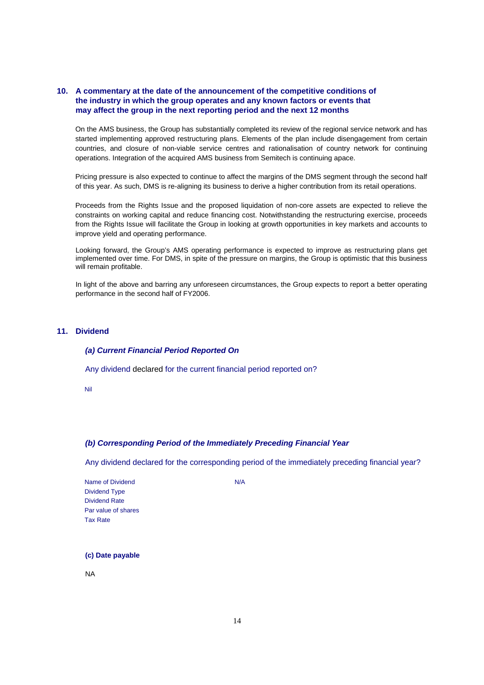## **10. A commentary at the date of the announcement of the competitive conditions of the industry in which the group operates and any known factors or events that may affect the group in the next reporting period and the next 12 months**

On the AMS business, the Group has substantially completed its review of the regional service network and has started implementing approved restructuring plans. Elements of the plan include disengagement from certain countries, and closure of non-viable service centres and rationalisation of country network for continuing operations. Integration of the acquired AMS business from Semitech is continuing apace.

Pricing pressure is also expected to continue to affect the margins of the DMS segment through the second half of this year. As such, DMS is re-aligning its business to derive a higher contribution from its retail operations.

Proceeds from the Rights Issue and the proposed liquidation of non-core assets are expected to relieve the constraints on working capital and reduce financing cost. Notwithstanding the restructuring exercise, proceeds from the Rights Issue will facilitate the Group in looking at growth opportunities in key markets and accounts to improve yield and operating performance.

Looking forward, the Group's AMS operating performance is expected to improve as restructuring plans get implemented over time. For DMS, in spite of the pressure on margins, the Group is optimistic that this business will remain profitable.

In light of the above and barring any unforeseen circumstances, the Group expects to report a better operating performance in the second half of FY2006.

### **11. Dividend**

### *(a) Current Financial Period Reported On*

Any dividend declared for the current financial period reported on?

Nil

### *(b) Corresponding Period of the Immediately Preceding Financial Year*

Any dividend declared for the corresponding period of the immediately preceding financial year?

Name of Dividend N/A Dividend Type Dividend Rate Par value of shares Tax Rate

### **(c) Date payable**

NA